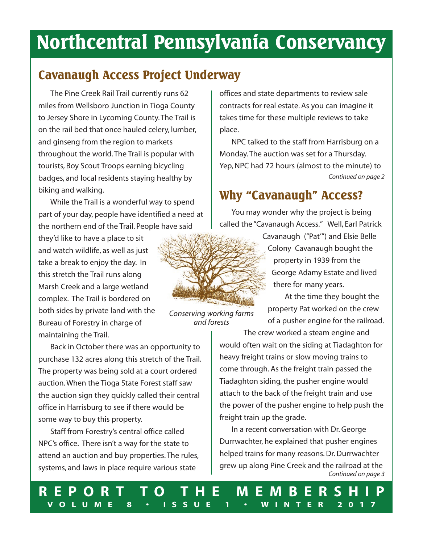# **Northcentral Pennsylvania Conservancy**

# **Cavanaugh Access Project Underway**

 The Pine Creek Rail Trail currently runs 62 miles from Wellsboro Junction in Tioga County to Jersey Shore in Lycoming County. The Trail is on the rail bed that once hauled celery, lumber, and ginseng from the region to markets throughout the world. The Trail is popular with tourists, Boy Scout Troops earning bicycling badges, and local residents staying healthy by biking and walking.

 While the Trail is a wonderful way to spend part of your day, people have identified a need at the northern end of the Trail. People have said

they'd like to have a place to sit and watch wildlife, as well as just take a break to enjoy the day. In this stretch the Trail runs along Marsh Creek and a large wetland complex. The Trail is bordered on both sides by private land with the Bureau of Forestry in charge of maintaining the Trail.

 Back in October there was an opportunity to purchase 132 acres along this stretch of the Trail. The property was being sold at a court ordered auction. When the Tioga State Forest staff saw the auction sign they quickly called their central office in Harrisburg to see if there would be some way to buy this property.

 Staff from Forestry's central office called NPC's office. There isn't a way for the state to attend an auction and buy properties. The rules, systems, and laws in place require various state

offices and state departments to review sale contracts for real estate. As you can imagine it takes time for these multiple reviews to take place.

 NPC talked to the staff from Harrisburg on a Monday. The auction was set for a Thursday. Yep, NPC had 72 hours (almost to the minute) to *Continued on page 2*

# **Why "Cavanaugh" Access?**

 You may wonder why the project is being called the "Cavanaugh Access." Well, Earl Patrick



*Conserving working farms and forests*

 Cavanaugh ("Pat'") and Elsie Belle Colony Cavanaugh bought the property in 1939 from the George Adamy Estate and lived there for many years.

 At the time they bought the property Pat worked on the crew of a pusher engine for the railroad.

 The crew worked a steam engine and would often wait on the siding at Tiadaghton for heavy freight trains or slow moving trains to come through. As the freight train passed the Tiadaghton siding, the pusher engine would attach to the back of the freight train and use the power of the pusher engine to help push the freight train up the grade.

 In a recent conversation with Dr. George Durrwachter, he explained that pusher engines helped trains for many reasons. Dr. Durrwachter grew up along Pine Creek and the railroad at the *Continued on page 3*

0 **R E P O R T T O T H E M E M B E R S H I P V O L U M E 8 • I S S U E 1 • W I N T E R 2 0 1 7**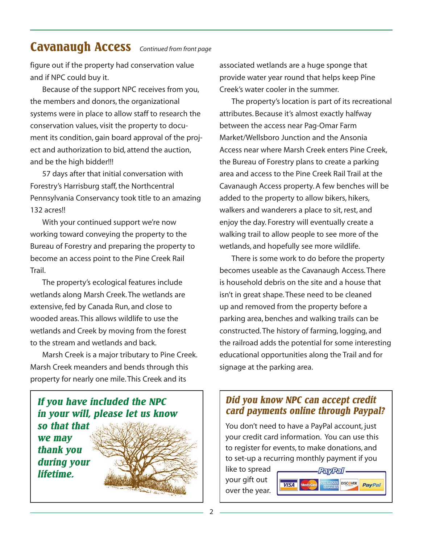### **Cavanaugh Access** *Continued from front page*

figure out if the property had conservation value and if NPC could buy it.

 Because of the support NPC receives from you, the members and donors, the organizational systems were in place to allow staff to research the conservation values, visit the property to document its condition, gain board approval of the project and authorization to bid, attend the auction, and be the high bidder!!!

 57 days after that initial conversation with Forestry's Harrisburg staff, the Northcentral Pennsylvania Conservancy took title to an amazing 132 acres!!

 With your continued support we're now working toward conveying the property to the Bureau of Forestry and preparing the property to become an access point to the Pine Creek Rail Trail.

 The property's ecological features include wetlands along Marsh Creek. The wetlands are extensive, fed by Canada Run, and close to wooded areas. This allows wildlife to use the wetlands and Creek by moving from the forest to the stream and wetlands and back.

 Marsh Creek is a major tributary to Pine Creek. Marsh Creek meanders and bends through this property for nearly one mile. This Creek and its



associated wetlands are a huge sponge that provide water year round that helps keep Pine Creek's water cooler in the summer.

 The property's location is part of its recreational attributes. Because it's almost exactly halfway between the access near Pag-Omar Farm Market/Wellsboro Junction and the Ansonia Access near where Marsh Creek enters Pine Creek, the Bureau of Forestry plans to create a parking area and access to the Pine Creek Rail Trail at the Cavanaugh Access property. A few benches will be added to the property to allow bikers, hikers, walkers and wanderers a place to sit, rest, and enjoy the day. Forestry will eventually create a walking trail to allow people to see more of the wetlands, and hopefully see more wildlife.

 There is some work to do before the property becomes useable as the Cavanaugh Access. There is household debris on the site and a house that isn't in great shape. These need to be cleaned up and removed from the property before a parking area, benches and walking trails can be constructed. The history of farming, logging, and the railroad adds the potential for some interesting educational opportunities along the Trail and for signage at the parking area.

### *Did you know NPC can accept credit card payments online through Paypal?*

You don't need to have a PayPal account, just your credit card information. You can use this to register for events, to make donations, and to set-up a recurring monthly payment if you

like to spread your gift out over the year.

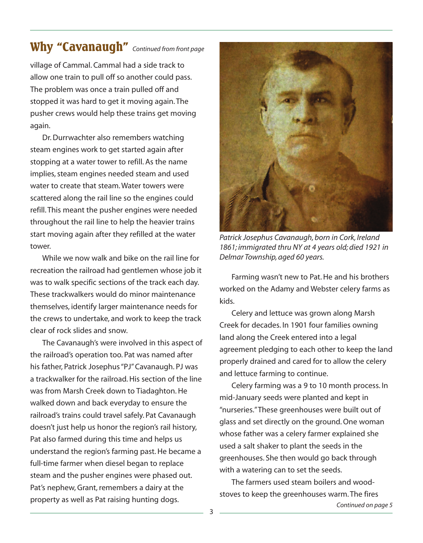# **Why "Cavanaugh"** *Continued from front page*

village of Cammal. Cammal had a side track to allow one train to pull off so another could pass. The problem was once a train pulled off and stopped it was hard to get it moving again. The pusher crews would help these trains get moving again.

 Dr. Durrwachter also remembers watching steam engines work to get started again after stopping at a water tower to refill. As the name implies, steam engines needed steam and used water to create that steam. Water towers were scattered along the rail line so the engines could refill. This meant the pusher engines were needed throughout the rail line to help the heavier trains start moving again after they refilled at the water tower.

 While we now walk and bike on the rail line for recreation the railroad had gentlemen whose job it was to walk specific sections of the track each day. These trackwalkers would do minor maintenance themselves, identify larger maintenance needs for the crews to undertake, and work to keep the track clear of rock slides and snow.

 The Cavanaugh's were involved in this aspect of the railroad's operation too. Pat was named after his father, Patrick Josephus "PJ" Cavanaugh. PJ was a trackwalker for the railroad. His section of the line was from Marsh Creek down to Tiadaghton. He walked down and back everyday to ensure the railroad's trains could travel safely. Pat Cavanaugh doesn't just help us honor the region's rail history, Pat also farmed during this time and helps us understand the region's farming past. He became a full-time farmer when diesel began to replace steam and the pusher engines were phased out. Pat's nephew, Grant, remembers a dairy at the property as well as Pat raising hunting dogs.



*Patrick Josephus Cavanaugh, born in Cork, Ireland 1861; immigrated thru NY at 4 years old; died 1921 in Delmar Township, aged 60 years.*

 Farming wasn't new to Pat. He and his brothers worked on the Adamy and Webster celery farms as kids.

 Celery and lettuce was grown along Marsh Creek for decades. In 1901 four families owning land along the Creek entered into a legal agreement pledging to each other to keep the land properly drained and cared for to allow the celery and lettuce farming to continue.

 Celery farming was a 9 to 10 month process. In mid-January seeds were planted and kept in "nurseries." These greenhouses were built out of glass and set directly on the ground. One woman whose father was a celery farmer explained she used a salt shaker to plant the seeds in the greenhouses. She then would go back through with a watering can to set the seeds.

 The farmers used steam boilers and woodstoves to keep the greenhouses warm. The fires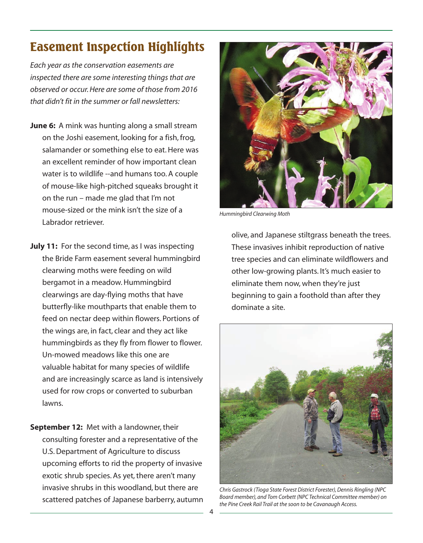# **Easement Inspection Highlights**

*Each year as the conservation easements are inspected there are some interesting things that are observed or occur. Here are some of those from 2016 that didn't fit in the summer or fall newsletters:* 

- **June 6:** A mink was hunting along a small stream on the Joshi easement, looking for a fish, frog, salamander or something else to eat. Here was an excellent reminder of how important clean water is to wildlife --and humans too. A couple of mouse-like high-pitched squeaks brought it on the run – made me glad that I'm not mouse-sized or the mink isn't the size of a Labrador retriever.
- **July 11:** For the second time, as I was inspecting the Bride Farm easement several hummingbird clearwing moths were feeding on wild bergamot in a meadow. Hummingbird clearwings are day-flying moths that have butterfly-like mouthparts that enable them to feed on nectar deep within flowers. Portions of the wings are, in fact, clear and they act like hummingbirds as they fly from flower to flower. Un-mowed meadows like this one are valuable habitat for many species of wildlife and are increasingly scarce as land is intensively used for row crops or converted to suburban lawns.
- **September 12:** Met with a landowner, their consulting forester and a representative of the U.S. Department of Agriculture to discuss upcoming efforts to rid the property of invasive exotic shrub species. As yet, there aren't many invasive shrubs in this woodland, but there are scattered patches of Japanese barberry, autumn



*Hummingbird Clearwing Moth*

 olive, and Japanese stiltgrass beneath the trees. These invasives inhibit reproduction of native tree species and can eliminate wildflowers and other low-growing plants. It's much easier to eliminate them now, when they're just beginning to gain a foothold than after they dominate a site.



*Chris Gastrock (Tioga State Forest District Forester), Dennis Ringling (NPC Board member), and Tom Corbett (NPC Technical Committee member) on the Pine Creek Rail Trail at the soon to be Cavanaugh Access.*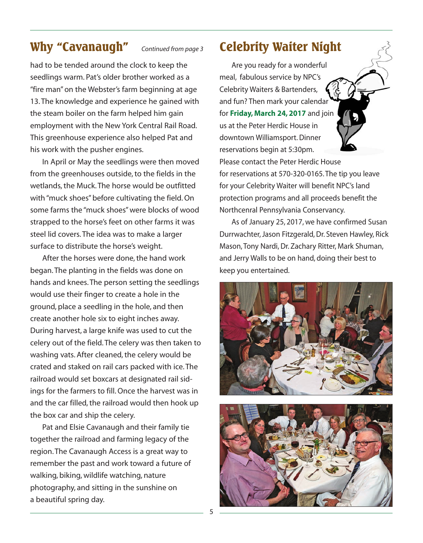### **Why "Cavanaugh"** *Continued from page 3*

had to be tended around the clock to keep the seedlings warm. Pat's older brother worked as a "fire man" on the Webster's farm beginning at age 13. The knowledge and experience he gained with the steam boiler on the farm helped him gain employment with the New York Central Rail Road. This greenhouse experience also helped Pat and his work with the pusher engines.

 In April or May the seedlings were then moved from the greenhouses outside, to the fields in the wetlands, the Muck. The horse would be outfitted with "muck shoes" before cultivating the field. On some farms the "muck shoes" were blocks of wood strapped to the horse's feet on other farms it was steel lid covers. The idea was to make a larger surface to distribute the horse's weight.

 After the horses were done, the hand work began. The planting in the fields was done on hands and knees. The person setting the seedlings would use their finger to create a hole in the ground, place a seedling in the hole, and then create another hole six to eight inches away. During harvest, a large knife was used to cut the celery out of the field. The celery was then taken to washing vats. After cleaned, the celery would be crated and staked on rail cars packed with ice. The railroad would set boxcars at designated rail sidings for the farmers to fill. Once the harvest was in and the car filled, the railroad would then hook up the box car and ship the celery.

 Pat and Elsie Cavanaugh and their family tie together the railroad and farming legacy of the region. The Cavanaugh Access is a great way to remember the past and work toward a future of walking, biking, wildlife watching, nature photography, and sitting in the sunshine on a beautiful spring day.

### **Celebrity Waiter Night**

 Are you ready for a wonderful meal, fabulous service by NPC's Celebrity Waiters & Bartenders, and fun? Then mark your calenda for **Friday, March 24, 2017** and join us at the Peter Herdic House in downtown Williamsport. Dinner reservations begin at 5:30pm.

Please contact the Peter Herdic House for reservations at 570-320-0165. The tip you leave for your Celebrity Waiter will benefit NPC's land protection programs and all proceeds benefit the Northcenral Pennsylvania Conservancy.

 As of January 25, 2017, we have confirmed Susan Durrwachter, Jason Fitzgerald, Dr. Steven Hawley, Rick Mason, Tony Nardi, Dr. Zachary Ritter, Mark Shuman, and Jerry Walls to be on hand, doing their best to keep you entertained.



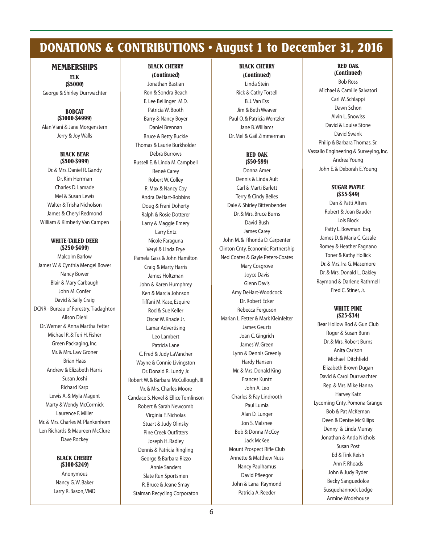# **DONATIONS & CONTRIBUTIONS • August 1 to December 31, 2016**

#### **MEMBERSHIPS**

**ELK (\$5000)**

George & Shirley Durrwachter

#### **BOBCAT (\$1000-\$4999)**

Alan Viani & Jane Morgenstern Jerry & Joy Walls

#### **BLACK BEAR (\$500-\$999)**

Dr. & Mrs. Daniel R. Gandy Dr. Kim Herrman Charles D. Lamade Mel & Susan Lewis Walter & Trisha Nicholson James & Cheryl Redmond William & Kimberly Van Campen

#### **WHITE-TAILED DEER (\$250-\$499)**

Malcolm Barlow James W. & Cynthia Mengel Bower Nancy Bower Blair & Mary Carbaugh John M. Confer David & Sally Craig DCNR - Bureau of Forestry, Tiadaghton Alison Diehl Dr. Werner & Anna Martha Fetter Michael R. & Teri H. Fisher Green Packaging, Inc. Mr. & Mrs. Law Groner Brian Haas Andrew & Elizabeth Harris Susan Joshi Richard Karp Lewis A. & Myla Magent Marty & Wendy McCormick Laurence F. Miller Mr. & Mrs. Charles M. Plankenhorn Len Richards & Maureen McClure Dave Rockey

#### **BLACK CHERRY (\$100-\$249)**

Anonymous Nancy G. W. Baker Larry R. Bason, VMD

### **BLACK CHERRY**

**(Continued)** Jonathan Bastian Ron & Sondra Beach E. Lee Bellinger M.D. Patricia W. Booth Barry & Nancy Boyer Daniel Brennan Bruce & Betty Buckle Thomas & Laurie Burkholder Debra Burrows Russell E. & Linda M. Campbell Reneé Carey Robert W. Colley R. Max & Nancy Coy Andra DeHart-Robbins Doug & Frani Doherty Ralph & Rosie Dotterer Larry & Maggie Emery Larry Entz Nicole Faraguna Veryl & Linda Frye Pamela Gass & John Hamilton Craig & Marty Harris James Holtzman John & Karen Humphrey Ken & Marcia Johnson Tiffani M. Kase, Esquire Rod & Sue Keller Oscar W. Knade Jr. Lamar Advertising Leo Lambert Patricia Lane C. Fred & Judy LaVancher Wayne & Connie Livingston Dr. Donald R. Lundy Jr. Robert W. & Barbara McCullough, III Mr. & Mrs. Charles Moore Candace S. Nevel & Ellice Tomlinson Robert & Sarah Newcomb Virginia F. Nicholas Stuart & Judy Olinsky Pine Creek Outfitters Joseph H. Radley Dennis & Patricia Ringling George & Barbara Rizzo Annie Sanders Slate Run Sportsmen R. Bruce & Jeane Smay Staiman Recycling Corporaton

#### **BLACK CHERRY (Continued)** Linda Stein Rick & Cathy Torsell B. J. Van Ess Jim & Beth Weaver Paul O. & Patricia Wentzler Jane B. Williams Dr. Mel & Gail Zimmerman

#### **RED OAK (\$50-\$99)**

Donna Amer Dennis & Linda Ault Carl & Marti Barlett Terry & Cindy Belles Dale & Shirley Bittenbender Dr. & Mrs. Bruce Burns David Bush James Carey John M. & Rhonda D. Carpenter Clinton Cnty. Economic Partnership Ned Coates & Gayle Peters-Coates Mary Cosgrove Joyce Davis Glenn Davis Amy DeHart-Woodcock Dr. Robert Ecker Rebecca Ferguson Marian L. Fetter & Mark Kleinfelter James Geurts Joan C. Gingrich James W. Green Lynn & Dennis Greenly Hardy Hansen Mr. & Mrs. Donald King Frances Kuntz John A. Leo Charles & Fay Lindrooth Paul Lumia Alan D. Lunger Jon S. Malsnee Bob & Donna McCoy Jack McKee Mount Prospect Rifle Club Annette & Matthew Nuss Nancy Paulhamus David Pfleegor John & Lana Raymond Patricia A. Reeder

#### **RED OAK (Continued)**

Bob Ross Michael & Camille Salvatori Carl W. Schlappi Dawn Schon Alvin L. Snowiss David & Louise Stone David Swank Philip & Barbara Thomas, Sr. Vassallo Engineering & Surveying, Inc. Andrea Young John E. & Deborah E. Young

#### **SUGAR MAPLE (\$35-\$49)**

Dan & Patti Alters Robert & Joan Bauder Lois Block Patty L. Bowman Esq. James D. & Maria C. Casale Romey & Heather Fagnano Toner & Kathy Hollick Dr. & Mrs. Ira G. Masemore Dr. & Mrs. Donald L. Oakley Raymond & Darlene Rathmell Fred C. Stiner, Jr.

#### **WHITE PINE (\$25-\$34)**

Bear Hollow Rod & Gun Club Roger & Susan Bunn Dr. & Mrs. Robert Burns Anita Carlson Michael Ditchfield Elizabeth Brown Dugan David & Carol Durrwachter Rep. & Mrs. Mike Hanna Harvey Katz Lycoming Cnty. Pomona Grange Bob & Pat McKernan Deen & Denise McKillips Denny & Linda Murray Jonathan & Anda Nichols Susan Post Ed & Tink Reish Ann F. Rhoads John & Judy Ryder Becky Sanguedolce Susquehannock Lodge Armine Wodehouse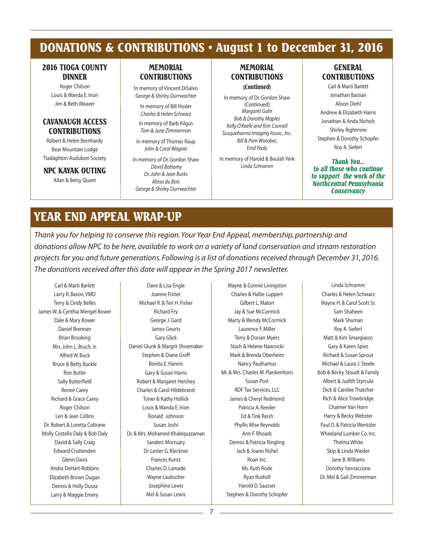### **DONATIONS & CONTRIBUTIONS • August 1 to December 31, 2016**

#### **2016 TIOGA COUNTY DINNER**

Roger Chilson Louis & Wanda E. Irion Jim & Beth Weaver

#### **CAVANAUGH ACCESS CONTRIBUTIONS**

Robert & Helen Bernhardy Bear Mountain Lodge Tiadaghton Audubon Society

**NPC KAYAK OUTING**

Allan & Betsy Quant

#### **MEMORIAL CONTRIBUTIONS**

In memory of Vincent DiSalvo *George & Shirley Durrwachter*

In memory of Bill Hosler *Charles & Helen Schwarz* In memory of Barb Kilgus

*Tom & June Zimmerman* In memory of Thomas Raup *John & Carol Wagner*

In memory of Dr. Gordon Shaw *David Bottomy*

*Dr. John & Jean Burks Alissa du Bois George & Shirley Durrwachter*

### **MEMORIAL CONTRIBUTIONS**

**(Continued)**

In memory of Dr. Gordon Shaw (Continued) *Margaret Gahr Bob & Dorothy Maples Kelly O'Keefe and Kim Connell Susquehanna Imaging Assoc., Inc. Bill & Pam Worobec Enid Yealy*

In memory of Harold & Beulah Yerk *Linda Schramm*

#### **GENERAL CONTRIBUTIONS**

Carl & Marti Barlett Jonathan Bastian Alison Diehl Andrew & Elizabeth Harris Jonathan & Anda Nichols Shirley Rightmire Stephen & Dorothy Schopfer Roy A. Siefert

*Thank You... to all those who continue to support the work of the Northcentral Pennsylvania Conservancy*

### **YEAR END APPEAL WRAP-UP**

*Thank you for helping to conserve this region. Your Year End Appeal, membership, partnership and donations allow NPC to be here, available to work on a variety of land conservation and stream restoration projects for you and future generations. Following is a list of donations received through December 31, 2016. The donations received after this date will appear in the Spring 2017 newsletter.*

Carl & Marti Barlett Larry R. Bason, VMD Terry & Cindy Belles James W. & Cynthia Mengel Bower Dale & Mary Bower Daniel Brennan Brian Brooking Mrs. John L. Bruch, Jr. Alfred W. Buck Bruce & Betty Buckle Ron Butler Sally Butterfield Reneé Carey Richard & Grace Carey Roger Chilson Len & Jean Collins Dr. Robert & Loretta Coltrane Molly Costello Daly & Bob Daly David & Sally Craig Edward Cruttenden Glenn Davis Andra DeHart-Robbins Elizabeth Brown Dugan Dennis & Holly Dusza Larry & Maggie Emery

Dave & Lisa Engle Joanne Fisher Michael R. & Teri H. Fisher Richard Fry George J. Gard James Geurts Gary Glick Daniel Glunk & Margrit Shoemaker Stephen & Diane Groff Bonita E. Hannis Gary & Susan Harris Robert & Margaret Hershey Charles & Carol Hildebrand Toner & Kathy Hollick Louis & Wanda E. Irion Ronald Johnson Susan Joshi Dr. & Mrs. Mohamed Khalequzzaman Sanders Mortuary Dr. Lester G. Kleckner Frances Kuntz Charles D. Lamade Wayne Laubscher Josephine Lewis Mel & Susan Lewis

Wayne & Connie Livingston Charles & Hallie Luppert Gilbert L. Maton Jay & Sue McCormick Marty & Wendy McCormick Laurence F. Miller Terry & Dorian Myers Stash & Helene Nawrocki Mark & Brenda Oberheim Nancy Paulhamus Mr. & Mrs. Charles M. Plankenhorn Susan Post RDF Tax Services, LLC James & Cheryl Redmond Patricia A. Reeder Ed & Tink Reish Phyllis Wise Reynolds Ann F. Rhoads Dennis & Patricia Ringling Jack & Joann Rishel Roan Inc. Ms. Ruth Rode Ryan Rudisill Harold D. Sausser Stephen & Dorothy Schopfer

Linda Schramm Charles & Helen Schwarz Wayne H. & Carol Scott Sr. Sam Shaheen Mark Shuman Roy A. Siefert Matt & Kim Smargiasso Gary & Karen Spies Richard & Susan Sprout Michael & Laura J. Steele Bob & Becky Stoudt & Family Albert & Judith Styrcula Dick & Carolee Thatcher Rich & Alice Trowbridge Chalmer Van Horn Harry & Becky Webster Paul O. & Patricia Wentzler Wheeland Lumber Co. Inc. Thelma White Skip & Linda Wieder Jane B. Williams Dorothy Yannaccone Dr. Mel & Gail Zimmerman